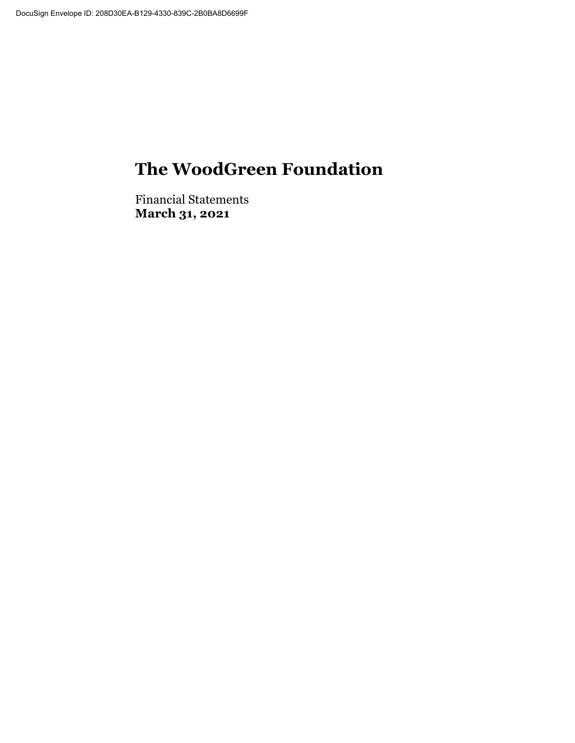Financial Statements **March 31, 2021**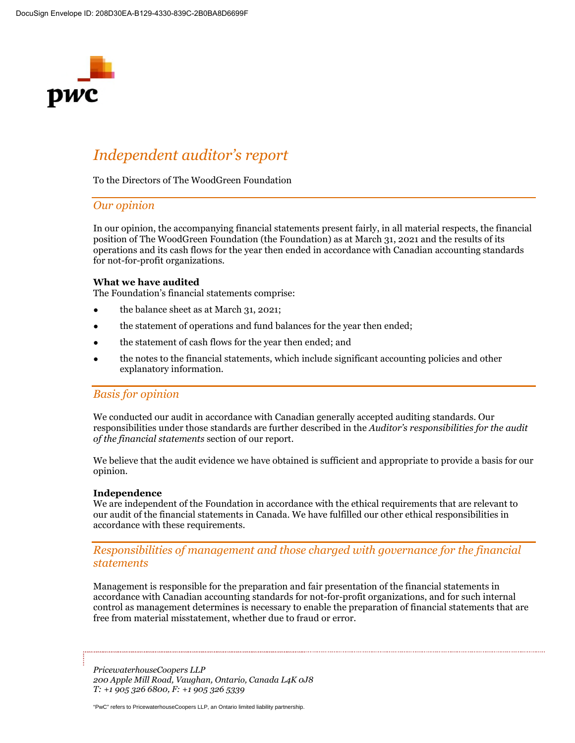

## *Independent auditor's report*

To the Directors of The WoodGreen Foundation

#### *Our opinion*

In our opinion, the accompanying financial statements present fairly, in all material respects, the financial position of The WoodGreen Foundation (the Foundation) as at March 31, 2021 and the results of its operations and its cash flows for the year then ended in accordance with Canadian accounting standards for not-for-profit organizations.

#### **What we have audited**

The Foundation's financial statements comprise:

- the balance sheet as at March 31, 2021;
- the statement of operations and fund balances for the year then ended;
- the statement of cash flows for the year then ended; and
- the notes to the financial statements, which include significant accounting policies and other explanatory information.

#### *Basis for opinion*

We conducted our audit in accordance with Canadian generally accepted auditing standards. Our responsibilities under those standards are further described in the *Auditor's responsibilities for the audit of the financial statements* section of our report.

We believe that the audit evidence we have obtained is sufficient and appropriate to provide a basis for our opinion.

#### **Independence**

We are independent of the Foundation in accordance with the ethical requirements that are relevant to our audit of the financial statements in Canada. We have fulfilled our other ethical responsibilities in accordance with these requirements.

#### *Responsibilities of management and those charged with governance for the financial statements*

Management is responsible for the preparation and fair presentation of the financial statements in accordance with Canadian accounting standards for not-for-profit organizations, and for such internal control as management determines is necessary to enable the preparation of financial statements that are free from material misstatement, whether due to fraud or error.

*PricewaterhouseCoopers LLP 200 Apple Mill Road, Vaughan, Ontario, Canada L4K 0J8 T: +1 905 326 6800, F: +1 905 326 5339*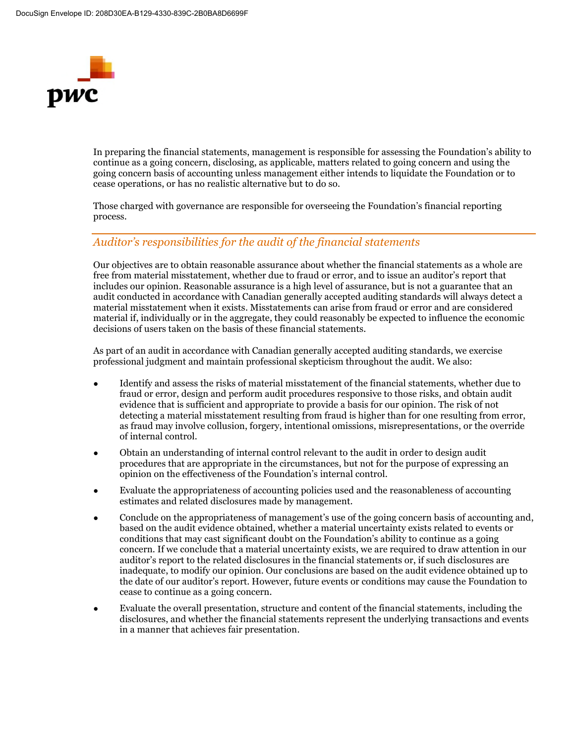

In preparing the financial statements, management is responsible for assessing the Foundation's ability to continue as a going concern, disclosing, as applicable, matters related to going concern and using the going concern basis of accounting unless management either intends to liquidate the Foundation or to cease operations, or has no realistic alternative but to do so.

Those charged with governance are responsible for overseeing the Foundation's financial reporting process.

#### *Auditor's responsibilities for the audit of the financial statements*

Our objectives are to obtain reasonable assurance about whether the financial statements as a whole are free from material misstatement, whether due to fraud or error, and to issue an auditor's report that includes our opinion. Reasonable assurance is a high level of assurance, but is not a guarantee that an audit conducted in accordance with Canadian generally accepted auditing standards will always detect a material misstatement when it exists. Misstatements can arise from fraud or error and are considered material if, individually or in the aggregate, they could reasonably be expected to influence the economic decisions of users taken on the basis of these financial statements.

As part of an audit in accordance with Canadian generally accepted auditing standards, we exercise professional judgment and maintain professional skepticism throughout the audit. We also:

- Identify and assess the risks of material misstatement of the financial statements, whether due to fraud or error, design and perform audit procedures responsive to those risks, and obtain audit evidence that is sufficient and appropriate to provide a basis for our opinion. The risk of not detecting a material misstatement resulting from fraud is higher than for one resulting from error, as fraud may involve collusion, forgery, intentional omissions, misrepresentations, or the override of internal control.
- Obtain an understanding of internal control relevant to the audit in order to design audit procedures that are appropriate in the circumstances, but not for the purpose of expressing an opinion on the effectiveness of the Foundation's internal control.
- Evaluate the appropriateness of accounting policies used and the reasonableness of accounting estimates and related disclosures made by management.
- Conclude on the appropriateness of management's use of the going concern basis of accounting and, based on the audit evidence obtained, whether a material uncertainty exists related to events or conditions that may cast significant doubt on the Foundation's ability to continue as a going concern. If we conclude that a material uncertainty exists, we are required to draw attention in our auditor's report to the related disclosures in the financial statements or, if such disclosures are inadequate, to modify our opinion. Our conclusions are based on the audit evidence obtained up to the date of our auditor's report. However, future events or conditions may cause the Foundation to cease to continue as a going concern.
- Evaluate the overall presentation, structure and content of the financial statements, including the disclosures, and whether the financial statements represent the underlying transactions and events in a manner that achieves fair presentation.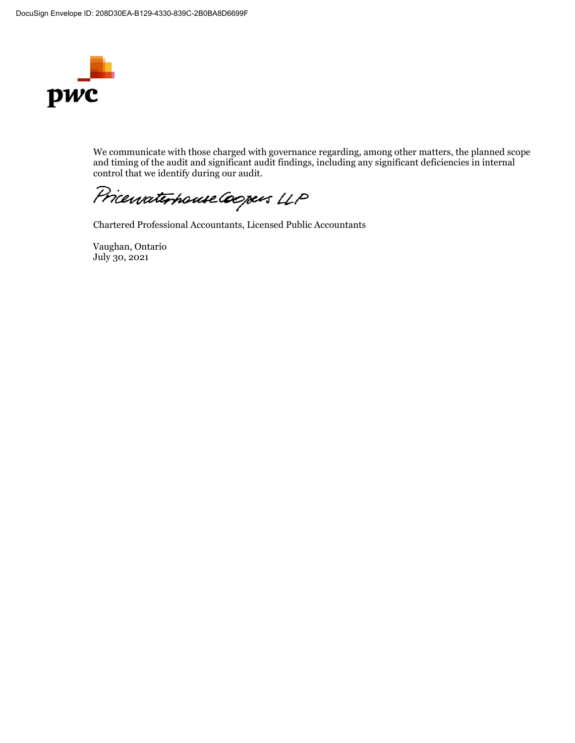

We communicate with those charged with governance regarding, among other matters, the planned scope and timing of the audit and significant audit findings, including any significant deficiencies in internal control that we identify during our audit.

Pricewaterhouse Coopers LLP

Chartered Professional Accountants, Licensed Public Accountants

Vaughan, Ontario July 30, 2021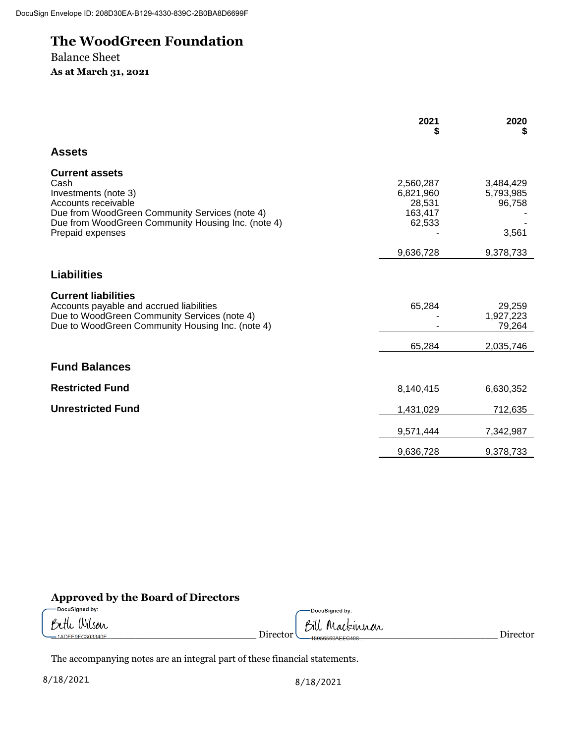### Balance Sheet **As at March 31, 2021**

|                                                                                                                                                                                                          | 2021                                                  | 2020<br>S                                 |
|----------------------------------------------------------------------------------------------------------------------------------------------------------------------------------------------------------|-------------------------------------------------------|-------------------------------------------|
| <b>Assets</b>                                                                                                                                                                                            |                                                       |                                           |
| <b>Current assets</b><br>Cash<br>Investments (note 3)<br>Accounts receivable<br>Due from WoodGreen Community Services (note 4)<br>Due from WoodGreen Community Housing Inc. (note 4)<br>Prepaid expenses | 2,560,287<br>6,821,960<br>28,531<br>163,417<br>62,533 | 3,484,429<br>5,793,985<br>96,758<br>3,561 |
|                                                                                                                                                                                                          | 9,636,728                                             | 9,378,733                                 |
| <b>Liabilities</b>                                                                                                                                                                                       |                                                       |                                           |
| <b>Current liabilities</b><br>Accounts payable and accrued liabilities<br>Due to WoodGreen Community Services (note 4)<br>Due to WoodGreen Community Housing Inc. (note 4)                               | 65,284                                                | 29,259<br>1,927,223<br>79,264             |
|                                                                                                                                                                                                          | 65,284                                                | 2,035,746                                 |
| <b>Fund Balances</b>                                                                                                                                                                                     |                                                       |                                           |
| <b>Restricted Fund</b>                                                                                                                                                                                   | 8,140,415                                             | 6,630,352                                 |
| <b>Unrestricted Fund</b>                                                                                                                                                                                 | 1,431,029                                             | 712,635                                   |
|                                                                                                                                                                                                          | 9,571,444                                             | 7,342,987                                 |
|                                                                                                                                                                                                          | 9,636,728                                             | 9,378,733                                 |

### **Approved by the Board of Directors**

| DocuSigned by:      | DocuSigned by:                 |          |
|---------------------|--------------------------------|----------|
| Beth Wilson         | Bill Mackinnon                 |          |
| $-1$ ADFE9FC303340E | Director<br>$-18056560AEECA08$ | Director |

The accompanying notes are an integral part of these financial statements.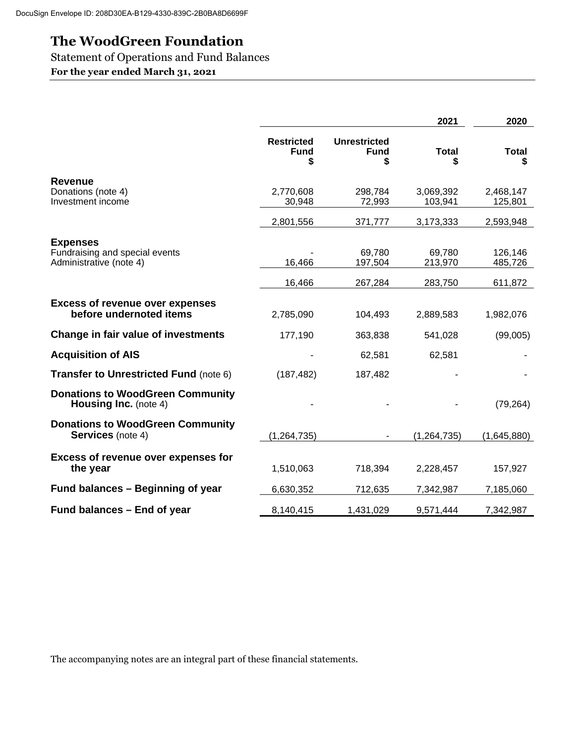Statement of Operations and Fund Balances

**For the year ended March 31, 2021** 

|                                                                              |                                       |                                         | 2021                 | 2020                 |
|------------------------------------------------------------------------------|---------------------------------------|-----------------------------------------|----------------------|----------------------|
|                                                                              | <b>Restricted</b><br><b>Fund</b><br>S | <b>Unrestricted</b><br><b>Fund</b><br>S | <b>Total</b>         | <b>Total</b><br>\$   |
| <b>Revenue</b><br>Donations (note 4)<br>Investment income                    | 2,770,608<br>30,948                   | 298,784<br>72,993                       | 3,069,392<br>103,941 | 2,468,147<br>125,801 |
|                                                                              | 2,801,556                             | 371,777                                 | 3,173,333            | 2,593,948            |
| <b>Expenses</b><br>Fundraising and special events<br>Administrative (note 4) | 16,466                                | 69,780<br>197,504                       | 69,780<br>213,970    | 126,146<br>485,726   |
|                                                                              | 16,466                                | 267,284                                 | 283,750              | 611,872              |
| <b>Excess of revenue over expenses</b><br>before undernoted items            | 2,785,090                             | 104,493                                 | 2,889,583            | 1,982,076            |
| Change in fair value of investments                                          | 177,190                               | 363,838                                 | 541,028              | (99,005)             |
| <b>Acquisition of AIS</b>                                                    |                                       | 62,581                                  | 62,581               |                      |
| <b>Transfer to Unrestricted Fund (note 6)</b>                                | (187, 482)                            | 187,482                                 |                      |                      |
| <b>Donations to WoodGreen Community</b><br><b>Housing Inc.</b> (note 4)      |                                       |                                         |                      | (79, 264)            |
| <b>Donations to WoodGreen Community</b><br><b>Services</b> (note 4)          | (1, 264, 735)                         |                                         | (1, 264, 735)        | (1,645,880)          |
| <b>Excess of revenue over expenses for</b><br>the year                       | 1,510,063                             | 718,394                                 | 2,228,457            | 157,927              |
| Fund balances - Beginning of year                                            | 6,630,352                             | 712,635                                 | 7,342,987            | 7,185,060            |
| Fund balances - End of year                                                  | 8,140,415                             | 1,431,029                               | 9,571,444            | 7,342,987            |

The accompanying notes are an integral part of these financial statements.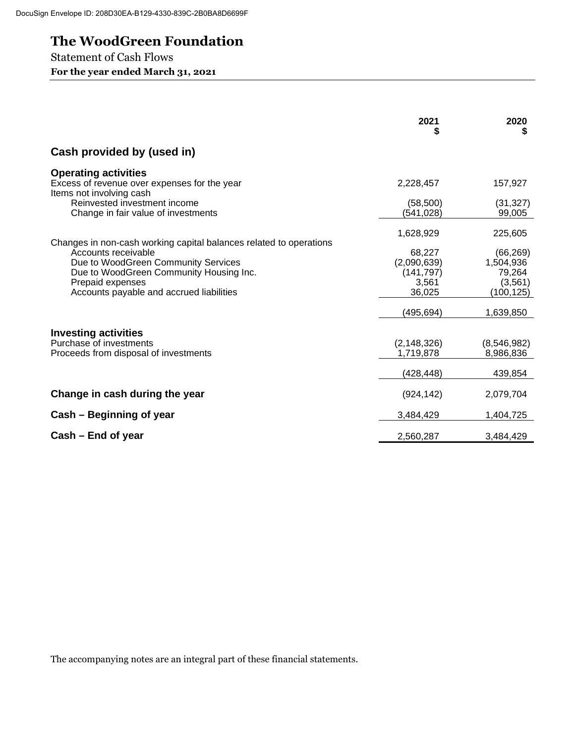### Statement of Cash Flows **For the year ended March 31, 2021**

|                                                                                                                                                                                                 | 2021                                                      | 2020<br>S                                               |
|-------------------------------------------------------------------------------------------------------------------------------------------------------------------------------------------------|-----------------------------------------------------------|---------------------------------------------------------|
| Cash provided by (used in)                                                                                                                                                                      |                                                           |                                                         |
| <b>Operating activities</b><br>Excess of revenue over expenses for the year<br>Items not involving cash<br>Reinvested investment income<br>Change in fair value of investments                  | 2,228,457<br>(58, 500)<br>(541,028)                       | 157,927<br>(31, 327)<br>99,005                          |
| Changes in non-cash working capital balances related to operations<br>Accounts receivable<br>Due to WoodGreen Community Services<br>Due to WoodGreen Community Housing Inc.<br>Prepaid expenses | 1,628,929<br>68,227<br>(2,090,639)<br>(141, 797)<br>3,561 | 225,605<br>(66, 269)<br>1,504,936<br>79,264<br>(3, 561) |
| Accounts payable and accrued liabilities                                                                                                                                                        | 36,025<br>(495,694)                                       | (100, 125)<br>1,639,850                                 |
| <b>Investing activities</b><br>Purchase of investments<br>Proceeds from disposal of investments                                                                                                 | (2, 148, 326)<br>1,719,878<br>(428,448)                   | (8,546,982)<br>8,986,836<br>439,854                     |
| Change in cash during the year                                                                                                                                                                  | (924, 142)                                                | 2,079,704                                               |
| Cash - Beginning of year                                                                                                                                                                        | 3,484,429                                                 | 1,404,725                                               |
| Cash – End of year                                                                                                                                                                              | 2,560,287                                                 | 3,484,429                                               |

The accompanying notes are an integral part of these financial statements.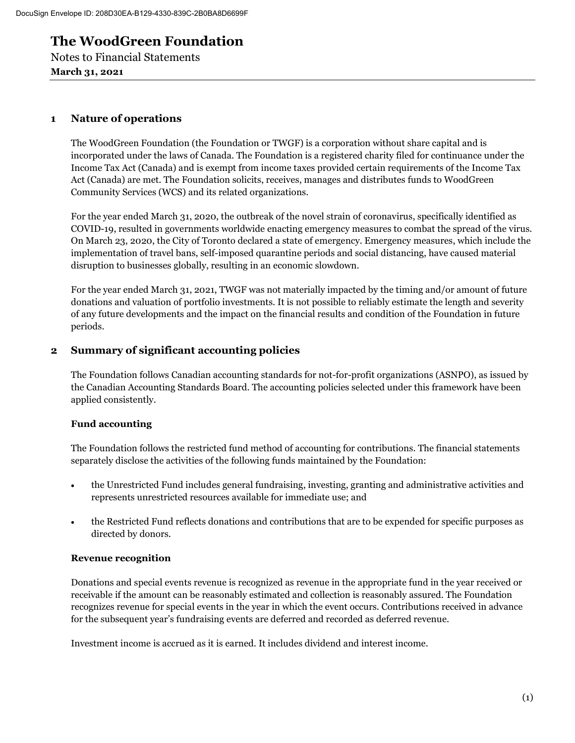Notes to Financial Statements **March 31, 2021** 

#### **1 Nature of operations**

The WoodGreen Foundation (the Foundation or TWGF) is a corporation without share capital and is incorporated under the laws of Canada. The Foundation is a registered charity filed for continuance under the Income Tax Act (Canada) and is exempt from income taxes provided certain requirements of the Income Tax Act (Canada) are met. The Foundation solicits, receives, manages and distributes funds to WoodGreen Community Services (WCS) and its related organizations.

For the year ended March 31, 2020, the outbreak of the novel strain of coronavirus, specifically identified as COVID-19, resulted in governments worldwide enacting emergency measures to combat the spread of the virus. On March 23, 2020, the City of Toronto declared a state of emergency. Emergency measures, which include the implementation of travel bans, self-imposed quarantine periods and social distancing, have caused material disruption to businesses globally, resulting in an economic slowdown.

For the year ended March 31, 2021, TWGF was not materially impacted by the timing and/or amount of future donations and valuation of portfolio investments. It is not possible to reliably estimate the length and severity of any future developments and the impact on the financial results and condition of the Foundation in future periods.

#### **2 Summary of significant accounting policies**

The Foundation follows Canadian accounting standards for not-for-profit organizations (ASNPO), as issued by the Canadian Accounting Standards Board. The accounting policies selected under this framework have been applied consistently.

#### **Fund accounting**

The Foundation follows the restricted fund method of accounting for contributions. The financial statements separately disclose the activities of the following funds maintained by the Foundation:

- the Unrestricted Fund includes general fundraising, investing, granting and administrative activities and represents unrestricted resources available for immediate use; and
- the Restricted Fund reflects donations and contributions that are to be expended for specific purposes as directed by donors.

#### **Revenue recognition**

Donations and special events revenue is recognized as revenue in the appropriate fund in the year received or receivable if the amount can be reasonably estimated and collection is reasonably assured. The Foundation recognizes revenue for special events in the year in which the event occurs. Contributions received in advance for the subsequent year's fundraising events are deferred and recorded as deferred revenue.

Investment income is accrued as it is earned. It includes dividend and interest income.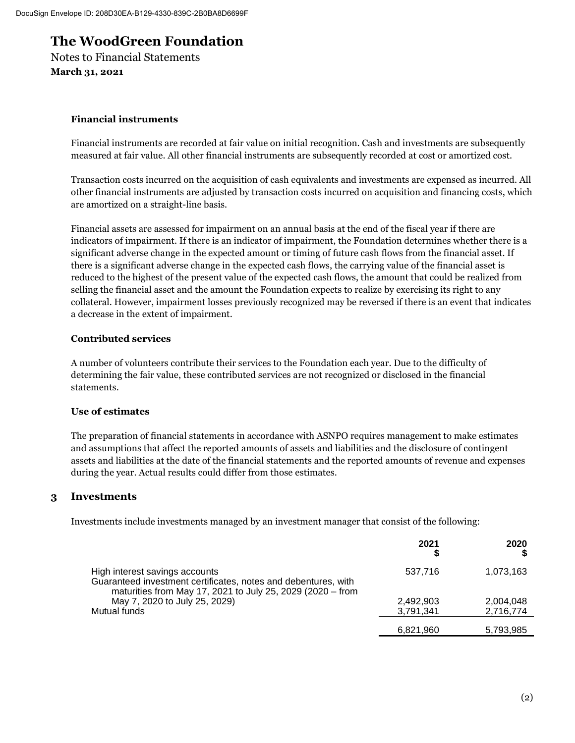Notes to Financial Statements **March 31, 2021** 

#### **Financial instruments**

Financial instruments are recorded at fair value on initial recognition. Cash and investments are subsequently measured at fair value. All other financial instruments are subsequently recorded at cost or amortized cost.

Transaction costs incurred on the acquisition of cash equivalents and investments are expensed as incurred. All other financial instruments are adjusted by transaction costs incurred on acquisition and financing costs, which are amortized on a straight-line basis.

Financial assets are assessed for impairment on an annual basis at the end of the fiscal year if there are indicators of impairment. If there is an indicator of impairment, the Foundation determines whether there is a significant adverse change in the expected amount or timing of future cash flows from the financial asset. If there is a significant adverse change in the expected cash flows, the carrying value of the financial asset is reduced to the highest of the present value of the expected cash flows, the amount that could be realized from selling the financial asset and the amount the Foundation expects to realize by exercising its right to any collateral. However, impairment losses previously recognized may be reversed if there is an event that indicates a decrease in the extent of impairment.

#### **Contributed services**

A number of volunteers contribute their services to the Foundation each year. Due to the difficulty of determining the fair value, these contributed services are not recognized or disclosed in the financial statements.

#### **Use of estimates**

The preparation of financial statements in accordance with ASNPO requires management to make estimates and assumptions that affect the reported amounts of assets and liabilities and the disclosure of contingent assets and liabilities at the date of the financial statements and the reported amounts of revenue and expenses during the year. Actual results could differ from those estimates.

#### **3 Investments**

Investments include investments managed by an investment manager that consist of the following:

|                                                                                                                                                                | 2021      | 2020      |
|----------------------------------------------------------------------------------------------------------------------------------------------------------------|-----------|-----------|
| High interest savings accounts<br>Guaranteed investment certificates, notes and debentures, with<br>maturities from May 17, 2021 to July 25, 2029 (2020 - from | 537,716   | 1,073,163 |
| May 7, 2020 to July 25, 2029)                                                                                                                                  | 2,492,903 | 2,004,048 |
| Mutual funds                                                                                                                                                   | 3,791,341 | 2,716,774 |
|                                                                                                                                                                | 6,821,960 | 5,793,985 |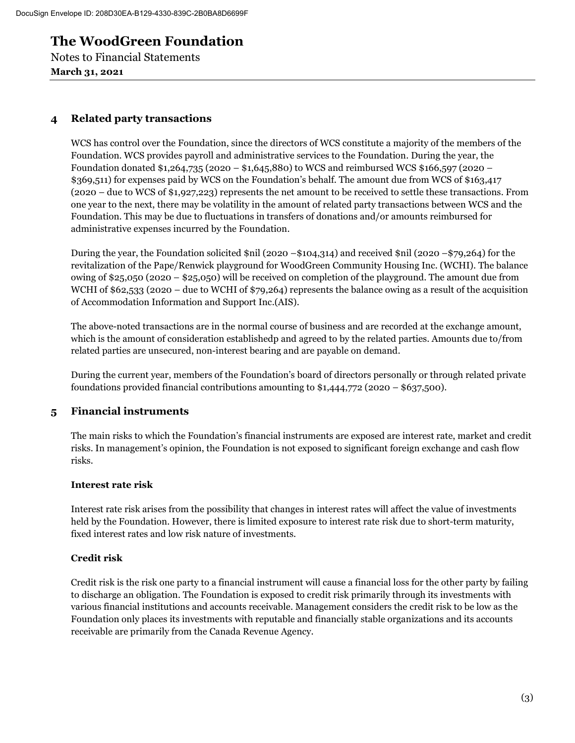Notes to Financial Statements **March 31, 2021** 

#### **4 Related party transactions**

WCS has control over the Foundation, since the directors of WCS constitute a majority of the members of the Foundation. WCS provides payroll and administrative services to the Foundation. During the year, the Foundation donated \$1,264,735 (2020 – \$1,645,880) to WCS and reimbursed WCS \$166,597 (2020 – \$369,511) for expenses paid by WCS on the Foundation's behalf. The amount due from WCS of \$163,417 (2020 – due to WCS of \$1,927,223) represents the net amount to be received to settle these transactions. From one year to the next, there may be volatility in the amount of related party transactions between WCS and the Foundation. This may be due to fluctuations in transfers of donations and/or amounts reimbursed for administrative expenses incurred by the Foundation.

During the year, the Foundation solicited \$nil (2020 –\$104,314) and received \$nil (2020 –\$79,264) for the revitalization of the Pape/Renwick playground for WoodGreen Community Housing Inc. (WCHI). The balance owing of \$25,050 (2020 – \$25,050) will be received on completion of the playground. The amount due from WCHI of \$62,533 (2020 – due to WCHI of \$79,264) represents the balance owing as a result of the acquisition of Accommodation Information and Support Inc.(AIS).

The above-noted transactions are in the normal course of business and are recorded at the exchange amount, which is the amount of consideration establishedp and agreed to by the related parties. Amounts due to/from related parties are unsecured, non-interest bearing and are payable on demand.

During the current year, members of the Foundation's board of directors personally or through related private foundations provided financial contributions amounting to  $$1,444,772$  (2020 –  $$637,500$ ).

#### **5 Financial instruments**

The main risks to which the Foundation's financial instruments are exposed are interest rate, market and credit risks. In management's opinion, the Foundation is not exposed to significant foreign exchange and cash flow risks.

#### **Interest rate risk**

Interest rate risk arises from the possibility that changes in interest rates will affect the value of investments held by the Foundation. However, there is limited exposure to interest rate risk due to short-term maturity, fixed interest rates and low risk nature of investments.

#### **Credit risk**

Credit risk is the risk one party to a financial instrument will cause a financial loss for the other party by failing to discharge an obligation. The Foundation is exposed to credit risk primarily through its investments with various financial institutions and accounts receivable. Management considers the credit risk to be low as the Foundation only places its investments with reputable and financially stable organizations and its accounts receivable are primarily from the Canada Revenue Agency.